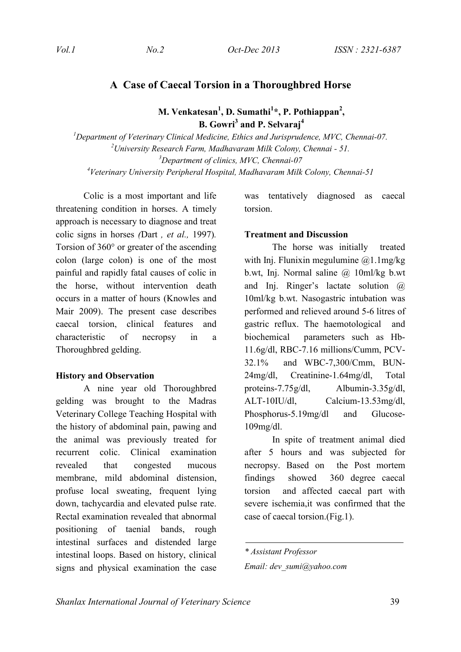## **A Case of Caecal Torsion in a Thoroughbred Horse**

**M. Venkatesan<sup>1</sup> , D. Sumathi 1 \*, P. Pothiappan2 , B. Gowri3 and P. Selvaraj4**

 *Department of Veterinary Clinical Medicine, Ethics and Jurisprudence, MVC, Chennai-07. University Research Farm, Madhavaram Milk Colony, Chennai - 51. Department of clinics, MVC, Chennai-07 Veterinary University Peripheral Hospital, Madhavaram Milk Colony, Chennai-51*

Colic is a most important and life threatening condition in horses. A timely approach is necessary to diagnose and treat colic signs in horses *(*Dart *, et al.,* 1997)*.* Torsion of 360° or greater of the ascending colon (large colon) is one of the most painful and rapidly fatal causes of colic in the horse, without intervention death occurs in a matter of hours (Knowles and Mair 2009). The present case describes caecal torsion, clinical features and characteristic of necropsy in a Thoroughbred gelding.

#### **History and Observation**

A nine year old Thoroughbred gelding was brought to the Madras Veterinary College Teaching Hospital with the history of abdominal pain, pawing and the animal was previously treated for recurrent colic. Clinical examination revealed that congested mucous membrane, mild abdominal distension, profuse local sweating, frequent lying down, tachycardia and elevated pulse rate. Rectal examination revealed that abnormal positioning of taenial bands, rough intestinal surfaces and distended large intestinal loops. Based on history, clinical signs and physical examination the case

was tentatively diagnosed as caecal torsion.

### **Treatment and Discussion**

The horse was initially treated with Inj. Flunixin megulumine  $(2)$ 1.1mg/kg b.wt, Inj. Normal saline @ 10ml/kg b.wt and Inj. Ringer's lactate solution @ 10ml/kg b.wt. Nasogastric intubation was performed and relieved around 5-6 litres of gastric reflux. The haemotological and biochemical parameters such as Hb-11.6g/dl, RBC-7.16 millions/Cumm, PCV-32.1% and WBC-7,300/Cmm, BUN-24mg/dl, Creatinine-1.64mg/dl, Total proteins-7.75g/dl, Albumin-3.35g/dl, ALT-10IU/dl, Calcium-13.53mg/dl, Phosphorus-5.19mg/dl and Glucose-109mg/dl.

In spite of treatment animal died after 5 hours and was subjected for necropsy. Based on the Post mortem findings showed 360 degree caecal torsion and affected caecal part with severe ischemia,it was confirmed that the case of caecal torsion.(Fig.1).

*<sup>\*</sup> Assistant Professor Email: dev\_sumi@yahoo.com*